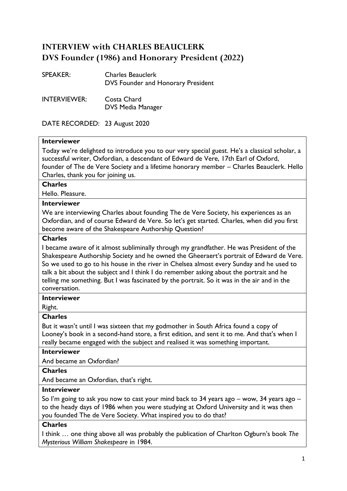# **INTERVIEW with CHARLES BEAUCLERK DVS Founder (1986) and Honorary President (2022)**

| <b>SPEAKER:</b>     | <b>Charles Beauclerk</b><br>DVS Founder and Honorary President |
|---------------------|----------------------------------------------------------------|
| <b>INTERVIEWER:</b> | Costa Chard<br><b>DVS Media Manager</b>                        |

DATE RECORDED: 23 August 2020

# **Interviewer**

Today we're delighted to introduce you to our very special guest. He's a classical scholar, a successful writer, Oxfordian, a descendant of Edward de Vere, 17th Earl of Oxford, founder of The de Vere Society and a lifetime honorary member – Charles Beauclerk. Hello Charles, thank you for joining us.

#### **Charles**

Hello. Pleasure.

# **Interviewer**

We are interviewing Charles about founding The de Vere Society, his experiences as an Oxfordian, and of course Edward de Vere. So let's get started. Charles, when did you first become aware of the Shakespeare Authorship Question?

#### **Charles**

I became aware of it almost subliminally through my grandfather. He was President of the Shakespeare Authorship Society and he owned the Gheeraert's portrait of Edward de Vere. So we used to go to his house in the river in Chelsea almost every Sunday and he used to talk a bit about the subject and I think I do remember asking about the portrait and he telling me something. But I was fascinated by the portrait. So it was in the air and in the conversation.

#### **Interviewer**

Right.

#### **Charles**

But it wasn't until I was sixteen that my godmother in South Africa found a copy of Looney's book in a second-hand store, a first edition, and sent it to me. And that's when I really became engaged with the subject and realised it was something important.

#### **Interviewer**

And became an Oxfordian?

#### **Charles**

And became an Oxfordian, that's right.

#### **Interviewer**

So I'm going to ask you now to cast your mind back to 34 years ago – wow, 34 years ago – to the heady days of 1986 when you were studying at Oxford University and it was then you founded The de Vere Society. What inspired you to do that?

# **Charles**

I think … one thing above all was probably the publication of Charlton Ogburn's book *The Mysterious William Shakespeare* in 1984.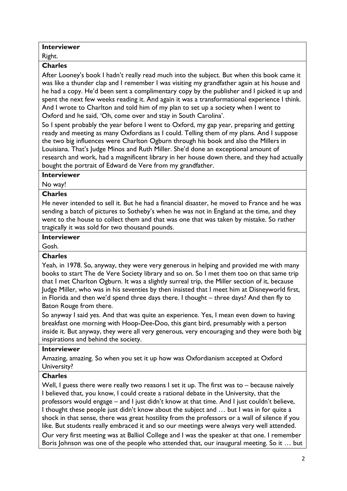# **Interviewer**

Right.

# **Charles**

After Looney's book I hadn't really read much into the subject. But when this book came it was like a thunder clap and I remember I was visiting my grandfather again at his house and he had a copy. He'd been sent a complimentary copy by the publisher and I picked it up and spent the next few weeks reading it. And again it was a transformational experience I think. And I wrote to Charlton and told him of my plan to set up a society when I went to Oxford and he said, 'Oh, come over and stay in South Carolina'.

So I spent probably the year before I went to Oxford, my gap year, preparing and getting ready and meeting as many Oxfordians as I could. Telling them of my plans. And I suppose the two big influences were Charlton Ogburn through his book and also the Millers in Louisiana. That's Judge Minos and Ruth Miller. She'd done an exceptional amount of research and work, had a magnificent library in her house down there, and they had actually bought the portrait of Edward de Vere from my grandfather.

#### **Interviewer**

# No way!

# **Charles**

He never intended to sell it. But he had a financial disaster, he moved to France and he was sending a batch of pictures to Sotheby's when he was not in England at the time, and they went to the house to collect them and that was one that was taken by mistake. So rather tragically it was sold for two thousand pounds.

# **Interviewer**

Gosh.

# **Charles**

Yeah, in 1978. So, anyway, they were very generous in helping and provided me with many books to start The de Vere Society library and so on. So I met them too on that same trip that I met Charlton Ogburn. It was a slightly surreal trip, the Miller section of it, because Judge Miller, who was in his seventies by then insisted that I meet him at Disneyworld first, in Florida and then we'd spend three days there. I thought – three days? And then fly to Baton Rouge from there.

So anyway I said yes. And that was quite an experience. Yes, I mean even down to having breakfast one morning with Hoop-Dee-Doo, this giant bird, presumably with a person inside it. But anyway, they were all very generous, very encouraging and they were both big inspirations and behind the society.

#### **Interviewer**

Amazing, amazing. So when you set it up how was Oxfordianism accepted at Oxford University?

# **Charles**

Well, I guess there were really two reasons I set it up. The first was to – because naively I believed that, you know, I could create a rational debate in the University, that the professors would engage – and I just didn't know at that time. And I just couldn't believe, I thought these people just didn't know about the subject and … but I was in for quite a shock in that sense, there was great hostility from the professors or a wall of silence if you like. But students really embraced it and so our meetings were always very well attended.

Our very first meeting was at Balliol College and I was the speaker at that one. I remember Boris Johnson was one of the people who attended that, our inaugural meeting. So it … but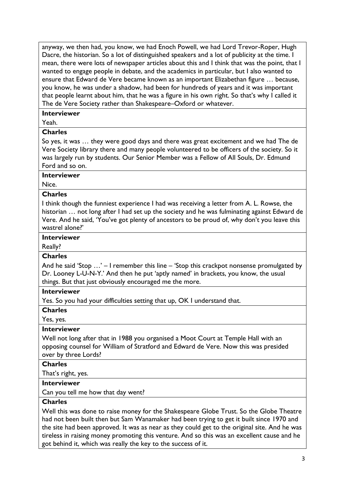anyway, we then had, you know, we had Enoch Powell, we had Lord Trevor-Roper, Hugh Dacre, the historian. So a lot of distinguished speakers and a lot of publicity at the time. I mean, there were lots of newspaper articles about this and I think that was the point, that I wanted to engage people in debate, and the academics in particular, but I also wanted to ensure that Edward de Vere became known as an important Elizabethan figure … because, you know, he was under a shadow, had been for hundreds of years and it was important that people learnt about him, that he was a figure in his own right. So that's why I called it The de Vere Society rather than Shakespeare–Oxford or whatever.

#### **Interviewer**

Yeah.

#### **Charles**

So yes, it was … they were good days and there was great excitement and we had The de Vere Society library there and many people volunteered to be officers of the society. So it was largely run by students. Our Senior Member was a Fellow of All Souls, Dr. Edmund Ford and so on.

#### **Interviewer**

Nice.

#### **Charles**

I think though the funniest experience I had was receiving a letter from A. L. Rowse, the historian ... not long after I had set up the society and he was fulminating against Edward de Vere. And he said, 'You've got plenty of ancestors to be proud of, why don't you leave this wastrel alone?'

#### **Interviewer**

# Really?

#### **Charles**

And he said 'Stop …' – I remember this line – 'Stop this crackpot nonsense promulgated by Dr. Looney L-U-N-Y.' And then he put 'aptly named' in brackets, you know, the usual things. But that just obviously encouraged me the more.

# **Interviewer**

Yes. So you had your difficulties setting that up, OK I understand that.

#### **Charles**

Yes, yes.

# **Interviewer**

Well not long after that in 1988 you organised a Moot Court at Temple Hall with an opposing counsel for William of Stratford and Edward de Vere. Now this was presided over by three Lords?

#### **Charles**

That's right, yes.

# **Interviewer**

Can you tell me how that day went?

#### **Charles**

Well this was done to raise money for the Shakespeare Globe Trust. So the Globe Theatre had not been built then but Sam Wanamaker had been trying to get it built since 1970 and the site had been approved. It was as near as they could get to the original site. And he was tireless in raising money promoting this venture. And so this was an excellent cause and he got behind it, which was really the key to the success of it.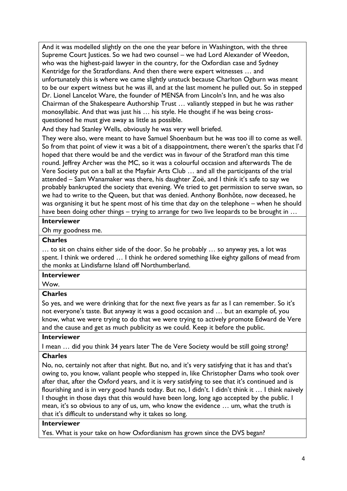And it was modelled slightly on the one the year before in Washington, with the three Supreme Court Justices. So we had two counsel – we had Lord Alexander of Weedon, who was the highest-paid lawyer in the country, for the Oxfordian case and Sydney Kentridge for the Stratfordians. And then there were expert witnesses … and unfortunately this is where we came slightly unstuck because Charlton Ogburn was meant to be our expert witness but he was ill, and at the last moment he pulled out. So in stepped Dr. Lionel Lancelot Ware, the founder of MENSA from Lincoln's Inn, and he was also Chairman of the Shakespeare Authorship Trust … valiantly stepped in but he was rather monosyllabic. And that was just his … his style. He thought if he was being crossquestioned he must give away as little as possible.

And they had Stanley Wells, obviously he was very well briefed.

They were also, were meant to have Samuel Shoenbaum but he was too ill to come as well. So from that point of view it was a bit of a disappointment, there weren't the sparks that I'd hoped that there would be and the verdict was in favour of the Stratford man this time round. Jeffrey Archer was the MC, so it was a colourful occasion and afterwards The de Vere Society put on a ball at the Mayfair Arts Club … and all the participants of the trial attended – Sam Wanamaker was there, his daughter Zoë, and I think it's safe to say we probably bankrupted the society that evening. We tried to get permission to serve swan, so we had to write to the Queen, but that was denied. Anthony Bonhôte, now deceased, he was organising it but he spent most of his time that day on the telephone – when he should have been doing other things – trying to arrange for two live leopards to be brought in ...

# **Interviewer**

Oh my goodness me.

# **Charles**

… to sit on chains either side of the door. So he probably … so anyway yes, a lot was spent. I think we ordered … I think he ordered something like eighty gallons of mead from the monks at Lindisfarne Island off Northumberland.

#### **Interviewer**

Wow.

# **Charles**

So yes, and we were drinking that for the next five years as far as I can remember. So it's not everyone's taste. But anyway it was a good occasion and … but an example of, you know, what we were trying to do that we were trying to actively promote Edward de Vere and the cause and get as much publicity as we could. Keep it before the public.

# **Interviewer**

I mean … did you think 34 years later The de Vere Society would be still going strong? **Charles**

No, no, certainly not after that night. But no, and it's very satisfying that it has and that's owing to, you know, valiant people who stepped in, like Christopher Dams who took over after that, after the Oxford years, and it is very satisfying to see that it's continued and is flourishing and is in very good hands today. But no, I didn't. I didn't think it … I think naively I thought in those days that this would have been long, long ago accepted by the public. I mean, it's so obvious to any of us, um, who know the evidence … um, what the truth is that it's difficult to understand why it takes so long.

# **Interviewer**

Yes. What is your take on how Oxfordianism has grown since the DVS began?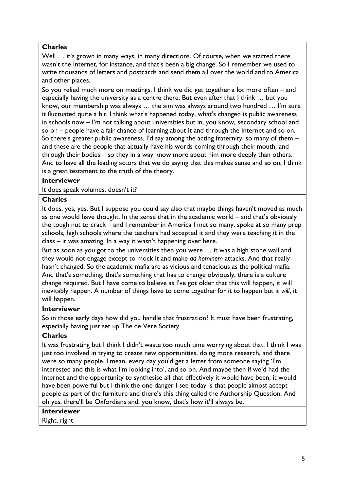Well ... it's grown in many ways, in many directions. Of course, when we started there wasn't the Internet, for instance, and that's been a big change. So I remember we used to write thousands of letters and postcards and send them all over the world and to America and other places.

So you relied much more on meetings. I think we did get together a lot more often – and especially having the university as a centre there. But even after that I think … but you know, our membership was always … the aim was always around two hundred … I'm sure it fluctuated quite a bit. I think what's happened today, what's changed is public awareness in schools now – I'm not talking about universities but in, you know, secondary school and so on – people have a fair chance of learning about it and through the Internet and so on. So there's greater public awareness. I'd say among the acting fraternity, so many of them – and these are the people that actually have his words coming through their mouth, and through their bodies – so they in a way know more about him more deeply than others. And to have all the leading actors that we do saying that this makes sense and so on, I think is a great testament to the truth of the theory.

# **Interviewer**

It does speak volumes, doesn't it?

# **Charles**

It does, yes, yes. But I suppose you could say also that maybe things haven't moved as much as one would have thought. In the sense that in the academic world – and that's obviously the tough nut to crack – and I remember in America I met so many, spoke at so many prep schools, high schools where the teachers had accepted it and they were teaching it in the class – it was amazing. In a way it wasn't happening over here.

But as soon as you got to the universities then you were … it was a high stone wall and they would not engage except to mock it and make *ad hominem* attacks. And that really hasn't changed. So the academic mafia are as vicious and tenacious as the political mafia. And that's something, that's something that has to change obviously, there is a culture change required. But I have come to believe as I've got older that this will happen, it will inevitably happen. A number of things have to come together for it to happen but it *will*, it will happen.

# **Interviewer**

So in those early days how did you handle that frustration? It must have been frustrating, especially having just set up The de Vere Society.

# **Charles**

It was frustrating but I think I didn't waste too much time worrying about that. I think I was just too involved in trying to create new opportunities, doing more research, and there were so many people. I mean, every day you'd get a letter from someone saying 'I'm interested and this is what I'm looking into', and so on. And maybe then if we'd had the Internet and the opportunity to synthesise all that effectively it would have been, it would have been powerful but I think the one danger I see today is that people almost accept people as part of the furniture and there's this thing called the Authorship Question. And oh yes, there'll be Oxfordians and, you know, that's how it'll always be.

# **Interviewer**

Right, right.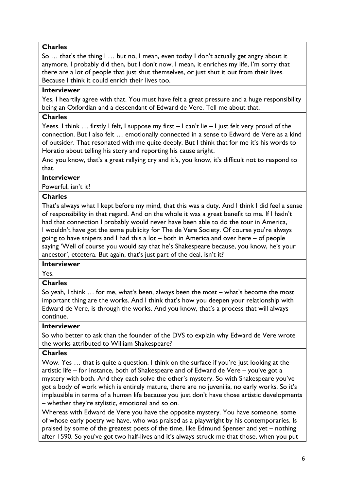So … that's the thing I … but no, I mean, even today I don't actually get angry about it anymore. I probably did then, but I don't now. I mean, it enriches my life, I'm sorry that there are a lot of people that just shut themselves, or just shut it out from their lives. Because I think it could enrich their lives too.

# **Interviewer**

Yes, I heartily agree with that. You must have felt a great pressure and a huge responsibility being an Oxfordian and a descendant of Edward de Vere. Tell me about that.

# **Charles**

Yeess. I think … firstly I felt, I suppose my first – I can't lie – I just felt very proud of the connection. But I also felt … emotionally connected in a sense to Edward de Vere as a kind of outsider. That resonated with me quite deeply. But I think that for me it's his words to Horatio about telling his story and reporting his cause aright.

And you know, that's a great rallying cry and it's, you know, it's difficult not to respond to that.

# **Interviewer**

Powerful, isn't it?

# **Charles**

That's always what I kept before my mind, that this was a duty. And I think I did feel a sense of responsibility in that regard. And on the whole it was a great benefit to me. If I hadn't had that connection I probably would never have been able to do the tour in America, I wouldn't have got the same publicity for The de Vere Society. Of course you're always going to have snipers and I had this a lot – both in America and over here – of people saying 'Well of course you would say that he's Shakespeare because, you know, he's your ancestor', etcetera. But again, that's just part of the deal, isn't it?

#### **Interviewer**

Yes.

# **Charles**

So yeah, I think … for me, what's been, always been the most – what's become the most important thing are the works. And I think that's how you deepen your relationship with Edward de Vere, is through the works. And you know, that's a process that will always continue.

#### **Interviewer**

So who better to ask than the founder of the DVS to explain why Edward de Vere wrote the works attributed to William Shakespeare?

#### **Charles**

Wow. Yes … that is quite a question. I think on the surface if you're just looking at the artistic life – for instance, both of Shakespeare and of Edward de Vere – you've got a mystery with both. And they each solve the other's mystery. So with Shakespeare you've got a body of work which is entirely mature, there are no juvenilia, no early works. So it's implausible in terms of a human life because you just don't have those artistic developments – whether they're stylistic, emotional and so on.

Whereas with Edward de Vere you have the opposite mystery. You have someone, some of whose early poetry we have, who was praised as a playwright by his contemporaries. Is praised by some of the greatest poets of the time, like Edmund Spenser and yet – nothing after 1590. So you've got two half-lives and it's always struck me that those, when you put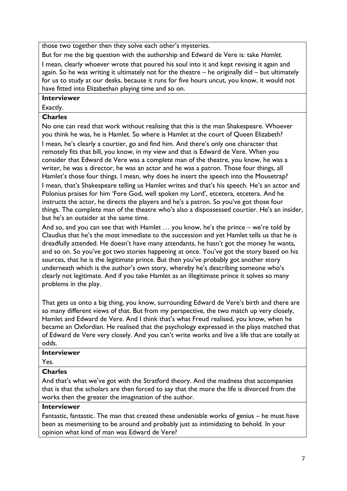those two together then they solve each other's mysteries.

But for me the big question with the authorship and Edward de Vere is: take *Hamlet*. I mean, clearly whoever wrote that poured his soul into it and kept revising it again and again. So he was writing it ultimately not for the theatre – he originally did – but ultimately for us to study at our desks, because it runs for five hours uncut, you know, it would not have fitted into Elizabethan playing time and so on.

# **Interviewer**

Exactly.

# **Charles**

No one can read that work without realising that this is the man Shakespeare. Whoever you think he was, he is Hamlet. So where is Hamlet at the court of Queen Elizabeth? I mean, he's clearly a courtier, go and find him. And there's only one character that remotely fits that bill, you know, in my view and that is Edward de Vere. When you consider that Edward de Vere was a complete man of the theatre, you know, he was a writer, he was a director, he was an actor and he was a patron. Those four things, all Hamlet's those four things. I mean, why does he insert the speech into the Mousetrap? I mean, that's Shakespeare telling us Hamlet writes and that's his speech. He's an actor and Polonius praises for him 'Fore God, well spoken my Lord', etcetera, etcetera. And he

instructs the actor, he directs the players and he's a patron. So you've got those four things. The complete man of the theatre who's also a dispossessed courtier. He's an insider, but he's an outsider at the same time.

And so, and you can see that with Hamlet … you know, he's the prince – we're told by Claudius that he's the most immediate to the succession and yet Hamlet tells us that he is dreadfully attended. He doesn't have many attendants, he hasn't got the money he wants, and so on. So you've got two stories happening at once. You've got the story based on his sources, that he is the legitimate prince. But then you've probably got another story underneath which is the author's own story, whereby he's describing someone who's clearly not legitimate. And if you take Hamlet as an illegitimate prince it solves so many problems in the play.

That gets us onto a big thing, you know, surrounding Edward de Vere's birth and there are so many different views of that. But from my perspective, the two match up very closely, Hamlet and Edward de Vere. And I think that's what Freud realised, you know, when he became an Oxfordian. He realised that the psychology expressed in the plays matched that of Edward de Vere very closely. And you can't write works and live a life that are totally at odds.

# **Interviewer**

Yes.

# **Charles**

And that's what we've got with the Stratford theory. And the madness that accompanies that is that the scholars are then forced to say that the more the life is divorced from the works then the greater the imagination of the author.

# **Interviewer**

Fantastic, fantastic. The man that created these undeniable works of genius – he must have been as mesmerising to be around and probably just as intimidating to behold. In your opinion what kind of man was Edward de Vere?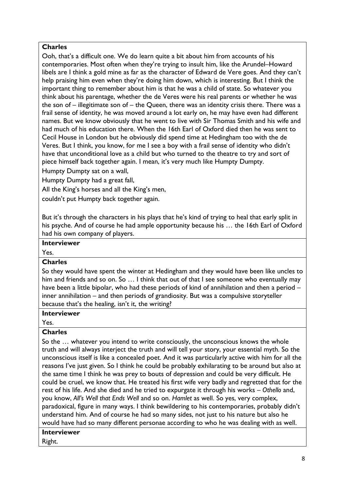Ooh, that's a difficult one. We do learn quite a bit about him from accounts of his contemporaries. Most often when they're trying to insult him, like the Arundel–Howard libels are I think a gold mine as far as the character of Edward de Vere goes. And they can't help praising him even when they're doing him down, which is interesting. But I think the important thing to remember about him is that he was a child of state. So whatever you think about his parentage, whether the de Veres were his real parents or whether he was the son of – illegitimate son of – the Queen, there was an identity crisis there. There was a frail sense of identity, he was moved around a lot early on, he may have even had different names. But we know obviously that he went to live with Sir Thomas Smith and his wife and had much of his education there. When the 16th Earl of Oxford died then he was sent to Cecil House in London but he obviously did spend time at Hedingham too with the de Veres. But I think, you know, for me I see a boy with a frail sense of identity who didn't have that unconditional love as a child but who turned to the theatre to try and sort of piece himself back together again. I mean, it's very much like Humpty Dumpty.

Humpty Dumpty sat on a wall,

Humpty Dumpty had a great fall,

All the King's horses and all the King's men,

couldn't put Humpty back together again.

But it's through the characters in his plays that he's kind of trying to heal that early split in his psyche. And of course he had ample opportunity because his ... the 16th Earl of Oxford had his own company of players.

# **Interviewer**

Yes.

#### **Charles**

So they would have spent the winter at Hedingham and they would have been like uncles to him and friends and so on. So ... I think that out of that I see someone who eventually may have been a little bipolar, who had these periods of kind of annihilation and then a period – inner annihilation – and then periods of grandiosity. But was a compulsive storyteller because that's the healing, isn't it, the writing?

#### **Interviewer**

Yes.

# **Charles**

So the … whatever you intend to write consciously, the unconscious knows the whole truth and will always interject the truth and will tell your story, your essential myth. So the unconscious itself is like a concealed poet. And it was particularly active with him for all the reasons I've just given. So I think he could be probably exhilarating to be around but also at the same time I think he was prey to bouts of depression and could be very difficult. He could be cruel, we know that. He treated his first wife very badly and regretted that for the rest of his life. And she died and he tried to expurgate it through his works – *Othello* and, you know, *All's Well that Ends Well* and so on. *Hamlet* as well. So yes, very complex, paradoxical, figure in many ways. I think bewildering to his contemporaries, probably didn't understand him. And of course he had so many sides, not just to his nature but also he would have had so many different personae according to who he was dealing with as well.

# **Interviewer**

Right.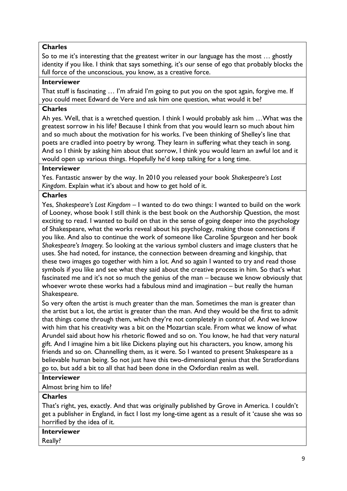So to me it's interesting that the greatest writer in our language has the most … ghostly identity if you like. I think that says something, it's our sense of ego that probably blocks the full force of the unconscious, you know, as a creative force.

# **Interviewer**

That stuff is fascinating … I'm afraid I'm going to put you on the spot again, forgive me. If you could meet Edward de Vere and ask him one question, what would it be?

# **Charles**

Ah yes. Well, that is a wretched question. I think I would probably ask him …What was the greatest sorrow in his life? Because I think from that you would learn so much about him and so much about the motivation for his works. I've been thinking of Shelley's line that poets are cradled into poetry by wrong. They learn in suffering what they teach in song. And so I think by asking him about that sorrow, I think you would learn an awful lot and it would open up various things. Hopefully he'd keep talking for a long time.

#### **Interviewer**

Yes. Fantastic answer by the way. In 2010 you released your book *Shakespeare's Lost Kingdom*. Explain what it's about and how to get hold of it.

#### **Charles**

Yes, *Shakespeare's Lost Kingdom* – I wanted to do two things: I wanted to build on the work of Looney, whose book I still think is the best book on the Authorship Question, the most exciting to read. I wanted to build on that in the sense of going deeper into the psychology of Shakespeare, what the works reveal about his psychology, making those connections if you like. And also to continue the work of someone like Caroline Spurgeon and her book *Shakespeare's Imagery.* So looking at the various symbol clusters and image clusters that he uses. She had noted, for instance, the connection between dreaming and kingship, that these two images go together with him a lot. And so again I wanted to try and read those symbols if you like and see what they said about the creative process in him. So that's what fascinated me and it's not so much the genius of the man – because we know obviously that whoever wrote these works had a fabulous mind and imagination – but really the human Shakespeare.

So very often the artist is much greater than the man. Sometimes the man is greater than the artist but a lot, the artist is greater than the man. And they would be the first to admit that things come through them, which they're not completely in control of. And we know with him that his creativity was a bit on the Mozartian scale. From what we know of what Arundel said about how his rhetoric flowed and so on. You know, he had that very natural gift. And I imagine him a bit like Dickens playing out his characters, you know, among his friends and so on. Channelling them, as it were. So I wanted to present Shakespeare as a believable human being. So not just have this two-dimensional genius that the Stratfordians go to, but add a bit to all that had been done in the Oxfordian realm as well.

#### **Interviewer**

Almost bring him to life?

# **Charles**

That's right, yes, exactly. And that was originally published by Grove in America. I couldn't get a publisher in England, in fact I lost my long-time agent as a result of it 'cause she was so horrified by the idea of it.

# **Interviewer**

Really?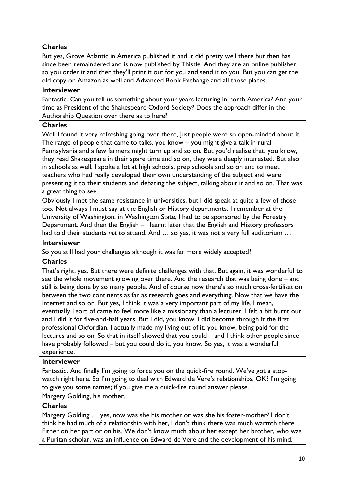But yes, Grove Atlantic in America published it and it did pretty well there but then has since been remaindered and is now published by Thistle. And they are an online publisher so you order it and then they'll print it out for you and send it to you. But you can get the old copy on Amazon as well and Advanced Book Exchange and all those places.

# **Interviewer**

Fantastic. Can you tell us something about your years lecturing in north America? And your time as President of the Shakespeare Oxford Society? Does the approach differ in the Authorship Question over there as to here?

# **Charles**

Well I found it very refreshing going over there, just people were so open-minded about it. The range of people that came to talks, you know – you might give a talk in rural Pennsylvania and a few farmers might turn up and so on. But you'd realise that, you know, they read Shakespeare in their spare time and so on, they were deeply interested. But also in schools as well, I spoke a lot at high schools, prep schools and so on and to meet teachers who had really developed their own understanding of the subject and were presenting it to their students and debating the subject, talking about it and so on. That was a great thing to see.

Obviously I met the same resistance in universities, but I did speak at quite a few of those too. Not always I must say at the English or History departments. I remember at the University of Washington, in Washington State, I had to be sponsored by the Forestry Department. And then the English – I learnt later that the English and History professors had told their students *not* to attend. And … so yes, it was not a very full auditorium …

# **Interviewer**

So you still had your challenges although it was far more widely accepted?

# **Charles**

That's right, yes. But there were definite challenges with that. But again, it was wonderful to see the whole movement growing over there. And the research that was being done – and still is being done by so many people. And of course now there's so much cross-fertilisation between the two continents as far as research goes and everything. Now that we have the Internet and so on. But yes, I think it was a very important part of my life. I mean, eventually I sort of came to feel more like a missionary than a lecturer. I felt a bit burnt out and I did it for five-and-half years. But I did, you know, I did become through it the first professional Oxfordian. I actually made my living out of it, you know, being paid for the lectures and so on. So that in itself showed that you could – and I think other people since have probably followed – but you could do it, you know. So yes, it was a wonderful experience.

#### **Interviewer**

Fantastic. And finally I'm going to force you on the quick-fire round. We've got a stopwatch right here. So I'm going to deal with Edward de Vere's relationships, OK? I'm going to give you some names; if you give me a quick-fire round answer please.

Margery Golding, his mother.

# **Charles**

Margery Golding … yes, now was she his mother or was she his foster-mother? I don't think he had much of a relationship with her, I don't think there was much warmth there. Either on her part or on his. We don't know much about her except her brother, who was a Puritan scholar, was an influence on Edward de Vere and the development of his mind.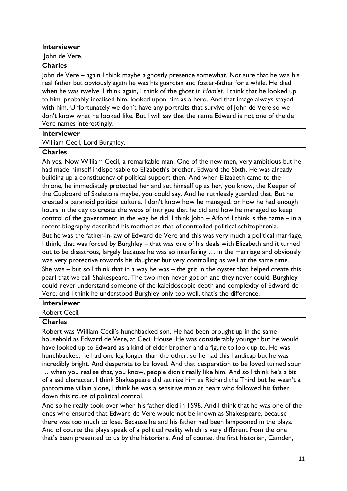# **Interviewer**

John de Vere.

# **Charles**

John de Vere – again I think maybe a ghostly presence somewhat. Not sure that he was his real father but obviously again he was his guardian and foster-father for a while. He died when he was twelve. I think again, I think of the ghost in *Hamlet*. I think that he looked up to him, probably idealised him, looked upon him as a hero. And that image always stayed with him. Unfortunately we don't have any portraits that survive of John de Vere so we don't know what he looked like. But I will say that the name Edward is not one of the de Vere names interestingly.

# **Interviewer**

William Cecil, Lord Burghley.

# **Charles**

Ah yes. Now William Cecil, a remarkable man. One of the new men, very ambitious but he had made himself indispensable to Elizabeth's brother, Edward the Sixth. He was already building up a constituency of political support then. And when Elizabeth came to the throne, he immediately protected her and set himself up as her, you know, the Keeper of the Cupboard of Skeletons maybe, you could say. And he ruthlessly guarded that. But he created a paranoid political culture. I don't know how he managed, or how he had enough hours in the day to create the webs of intrigue that he did and how he managed to keep control of the government in the way he did. I think John – Alford I think is the name – in a recent biography described his method as that of controlled political schizophrenia.

But he was the father-in-law of Edward de Vere and this was very much a political marriage, I think, that was forced by Burghley – that was one of his deals with Elizabeth and it turned out to be disastrous, largely because he was so interfering … in the marriage and obviously was very protective towards his daughter but very controlling as well at the same time.

She was – but so I think that in a way he was – the grit in the oyster that helped create this pearl that we call Shakespeare. The two men never got on and they never could. Burghley could never understand someone of the kaleidoscopic depth and complexity of Edward de Vere, and I think he understood Burghley only too well, that's the difference.

#### **Interviewer**

Robert Cecil.

# **Charles**

Robert was William Cecil's hunchbacked son. He had been brought up in the same household as Edward de Vere, at Cecil House. He was considerably younger but he would have looked up to Edward as a kind of elder brother and a figure to look up to. He was hunchbacked, he had one leg longer than the other, so he had this handicap but he was incredibly bright. And desperate to be loved. And that desperation to be loved turned sour

… when you realise that, you know, people didn't really like him. And so I think he's a bit of a sad character. I think Shakespeare did satirize him as Richard the Third but he wasn't a pantomime villain alone, I think he was a sensitive man at heart who followed his father down this route of political control.

And so he really took over when his father died in 1598. And I think that he was one of the ones who ensured that Edward de Vere would not be known as Shakespeare, because there was too much to lose. Because he and his father had been lampooned in the plays. And of course the plays speak of a political reality which is very different from the one that's been presented to us by the historians. And of course, the first historian, Camden,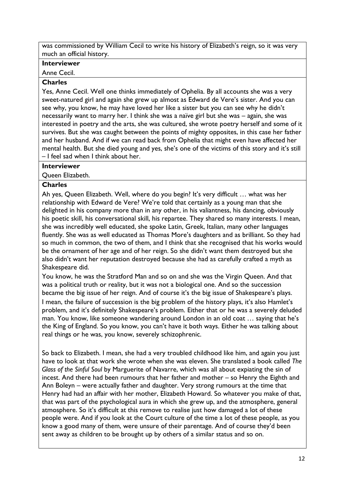was commissioned by William Cecil to write his history of Elizabeth's reign, so it was very much an official history.

# **Interviewer**

Anne Cecil.

# **Charles**

Yes, Anne Cecil. Well one thinks immediately of Ophelia. By all accounts she was a very sweet-natured girl and again she grew up almost as Edward de Vere's sister. And you can see why, you know, he may have loved her like a sister but you can see why he didn't necessarily want to marry her. I think she was a naïve girl but she was – again, she was interested in poetry and the arts, she was cultured, she wrote poetry herself and some of it survives. But she was caught between the points of mighty opposites, in this case her father and her husband. And if we can read back from Ophelia that might even have affected her mental health. But she died young and yes, she's one of the victims of this story and it's still – I feel sad when I think about her.

# **Interviewer**

Queen Elizabeth.

# **Charles**

Ah yes, Queen Elizabeth. Well, where do you begin? It's very difficult … what was her relationship with Edward de Vere? We're told that certainly as a young man that she delighted in his company more than in any other, in his valiantness, his dancing, obviously his poetic skill, his conversational skill, his repartee. They shared so many interests. I mean, she was incredibly well educated, she spoke Latin, Greek, Italian, many other languages fluently. She was as well educated as Thomas More's daughters and as brilliant. So they had so much in common, the two of them, and I think that she recognised that his works would be the ornament of her age and of her reign. So she didn't want them destroyed but she also didn't want her reputation destroyed because she had as carefully crafted a myth as Shakespeare did.

You know, he was the Stratford Man and so on and she was the Virgin Queen. And that was a political truth or reality, but it was not a biological one. And so the succession became the big issue of her reign. And of course it's the big issue of Shakespeare's plays. I mean, the failure of succession is the big problem of the history plays, it's also Hamlet's problem, and it's definitely Shakespeare's problem. Either that or he was a severely deluded man. You know, like someone wandering around London in an old coat … saying that he's the King of England. So you know, you can't have it both ways. Either he was talking about real things or he was, you know, severely schizophrenic.

So back to Elizabeth. I mean, she had a very troubled childhood like him, and again you just have to look at that work she wrote when she was eleven. She translated a book called *The Glass of the Sinful Soul* by Marguerite of Navarre, which was all about expiating the sin of incest. And there had been rumours that her father and mother – so Henry the Eighth and Ann Boleyn – were actually father and daughter. Very strong rumours at the time that Henry had had an affair with her mother, Elizabeth Howard. So whatever you make of that, that was part of the psychological aura in which she grew up, and the atmosphere, general atmosphere. So it's difficult at this remove to realise just how damaged a lot of these people were. And if you look at the Court culture of the time a lot of these people, as you know a good many of them, were unsure of their parentage. And of course they'd been sent away as children to be brought up by others of a similar status and so on.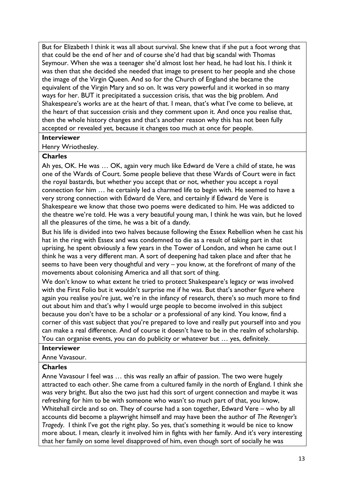But for Elizabeth I think it was all about survival. She knew that if she put a foot wrong that that could be the end of her and of course she'd had that big scandal with Thomas Seymour. When she was a teenager she'd almost lost her head, he had lost his. I think it was then that she decided she needed that image to present to her people and she chose the image of the Virgin Queen. And so for the Church of England she became the equivalent of the Virgin Mary and so on. It was very powerful and it worked in so many ways for her. BUT it precipitated a succession crisis, that was the big problem. And Shakespeare's works are at the heart of that. I mean, that's what I've come to believe, at the heart of that succession crisis and they comment upon it. And once you realise that, then the whole history changes and that's another reason why this has not been fully accepted or revealed yet, because it changes too much at once for people.

# **Interviewer**

Henry Wriothesley.

# **Charles**

Ah yes, OK. He was … OK, again very much like Edward de Vere a child of state, he was one of the Wards of Court. Some people believe that these Wards of Court were in fact the royal bastards, but whether you accept that or not, whether you accept a royal connection for him … he certainly led a charmed life to begin with. He seemed to have a very strong connection with Edward de Vere, and certainly if Edward de Vere is Shakespeare we know that those two poems were dedicated to him. He was addicted to the theatre we're told. He was a very beautiful young man, I think he was vain, but he loved all the pleasures of the time, he was a bit of a dandy.

But his life is divided into two halves because following the Essex Rebellion when he cast his hat in the ring with Essex and was condemned to die as a result of taking part in that uprising, he spent obviously a few years in the Tower of London, and when he came out I think he was a very different man. A sort of deepening had taken place and after that he seems to have been very thoughtful and very – you know, at the forefront of many of the movements about colonising America and all that sort of thing.

We don't know to what extent he tried to protect Shakespeare's legacy or was involved with the First Folio but it wouldn't surprise me if he was. But that's another figure where again you realise you're just, we're in the infancy of research, there's so much more to find out about him and that's why I would urge people to become involved in this subject because you don't have to be a scholar or a professional of any kind. You know, find a corner of this vast subject that you're prepared to love and really put yourself into and you can make a real difference. And of course it doesn't have to be in the realm of scholarship. You can organise events, you can do publicity or whatever but … yes, definitely.

## **Interviewer**

Anne Vavasour.

# **Charles**

Anne Vavasour I feel was … this was really an affair of passion. The two were hugely attracted to each other. She came from a cultured family in the north of England. I think she was very bright. But also the two just had this sort of urgent connection and maybe it was refreshing for him to be with someone who wasn't so much part of that, you know, Whitehall circle and so on. They of course had a son together, Edward Vere – who by all accounts did become a playwright himself and may have been the author of *The Revenger's Tragedy*. I think I've got the right play. So yes, that's something it would be nice to know more about. I mean, clearly it involved him in fights with her family. And it's very interesting that her family on some level disapproved of him, even though sort of socially he was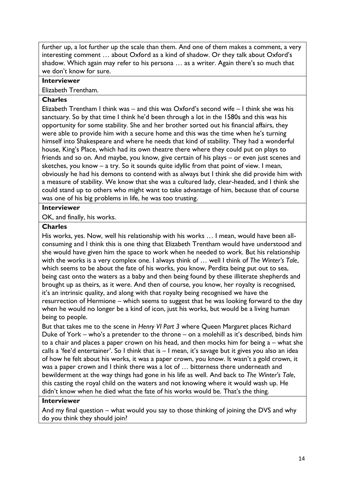further up, a lot further up the scale than them. And one of them makes a comment, a very interesting comment … about Oxford as a kind of shadow. Or they talk about Oxford's shadow. Which again may refer to his persona … as a writer. Again there's so much that we don't know for sure.

# **Interviewer**

Elizabeth Trentham.

# **Charles**

Elizabeth Trentham I think was – and this was Oxford's second wife – I think she was his sanctuary. So by that time I think he'd been through a lot in the 1580s and this was his opportunity for some stability. She and her brother sorted out his financial affairs, they were able to provide him with a secure home and this was the time when he's turning himself into Shakespeare and where he needs that kind of stability. They had a wonderful house, King's Place, which had its own theatre there where they could put on plays to friends and so on. And maybe, you know, give certain of his plays – or even just scenes and sketches, you know – a try. So it sounds quite idyllic from that point of view. I mean, obviously he had his demons to contend with as always but I think she did provide him with a measure of stability. We know that she was a cultured lady, clear-headed, and I think she could stand up to others who might want to take advantage of him, because that of course was one of his big problems in life, he was too trusting.

# **Interviewer**

OK, and finally, his works.

# **Charles**

His works, yes. Now, well his relationship with his works … I mean, would have been allconsuming and I think this is one thing that Elizabeth Trentham would have understood and she would have given him the space to work when he needed to work. But his relationship with the works is a very complex one. I always think of … well I think of *The Winter's Tale*, which seems to be about the fate of his works, you know, Perdita being put out to sea, being cast onto the waters as a baby and then being found by these illiterate shepherds and brought up as theirs, as it were. And then of course, you know, her royalty is recognised, it's an intrinsic quality, and along with that royalty being recognised we have the resurrection of Hermione – which seems to suggest that he was looking forward to the day when he would no longer be a kind of icon, just his works, but would be a living human being to people.

But that takes me to the scene in *Henry VI Part 3* where Queen Margaret places Richard Duke of York – who's a pretender to the throne – on a molehill as it's described, binds him to a chair and places a paper crown on his head, and then mocks him for being a – what she calls a 'fee'd entertainer'. So I think that is – I mean, it's savage but it gives you also an idea of how he felt about his works, it was a paper crown, you know. It wasn't a gold crown, it was a paper crown and I think there was a lot of ... bitterness there underneath and bewilderment at the way things had gone in his life as well. And back to *The Winter's Tale*, this casting the royal child on the waters and not knowing where it would wash up. He didn't know when he died what the fate of his works would be. That's the thing.

#### **Interviewer**

And my final question – what would you say to those thinking of joining the DVS and why do you think they should join?